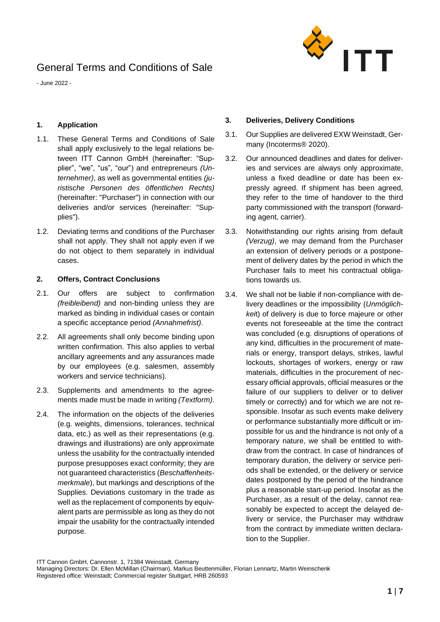

- June 2022 -

### **1. Application**

- 1.1. These General Terms and Conditions of Sale shall apply exclusively to the legal relations between ITT Cannon GmbH (hereinafter: "Supplier", "we", "us", "our") and entrepreneurs *(Unternehmer)*, as well as governmental entities *(juristische Personen des öffentlichen Rechts)* (hereinafter: "Purchaser") in connection with our deliveries and/or services (hereinafter: "Supplies").
- 1.2. Deviating terms and conditions of the Purchaser shall not apply. They shall not apply even if we do not object to them separately in individual cases.

#### **2. Offers, Contract Conclusions**

- 2.1. Our offers are subject to confirmation *(freibleibend)* and non-binding unless they are marked as binding in individual cases or contain a specific acceptance period *(Annahmefrist)*.
- 2.2. All agreements shall only become binding upon written confirmation. This also applies to verbal ancillary agreements and any assurances made by our employees (e.g. salesmen, assembly workers and service technicians).
- 2.3. Supplements and amendments to the agreements made must be made in writing *(Textform)*.
- 2.4. The information on the objects of the deliveries (e.g. weights, dimensions, tolerances, technical data, etc.) as well as their representations (e.g. drawings and illustrations) are only approximate unless the usability for the contractually intended purpose presupposes exact conformity; they are not guaranteed characteristics (*Beschaffenheitsmerkmale*), but markings and descriptions of the Supplies. Deviations customary in the trade as well as the replacement of components by equivalent parts are permissible as long as they do not impair the usability for the contractually intended purpose.

### **3. Deliveries, Delivery Conditions**

- 3.1. Our Supplies are delivered EXW Weinstadt, Germany (Incoterms® 2020).
- 3.2. Our announced deadlines and dates for deliveries and services are always only approximate, unless a fixed deadline or date has been expressly agreed. If shipment has been agreed, they refer to the time of handover to the third party commissioned with the transport (forwarding agent, carrier).
- 3.3. Notwithstanding our rights arising from default *(Verzug)*, we may demand from the Purchaser an extension of delivery periods or a postponement of delivery dates by the period in which the Purchaser fails to meet his contractual obligations towards us.
- 3.4. We shall not be liable if non-compliance with delivery deadlines or the impossibility (*Unmöglichkei*t) of delivery is due to force majeure or other events not foreseeable at the time the contract was concluded (e.g. disruptions of operations of any kind, difficulties in the procurement of materials or energy, transport delays, strikes, lawful lockouts, shortages of workers, energy or raw materials, difficulties in the procurement of necessary official approvals, official measures or the failure of our suppliers to deliver or to deliver timely or correctly) and for which we are not responsible. Insofar as such events make delivery or performance substantially more difficult or impossible for us and the hindrance is not only of a temporary nature, we shall be entitled to withdraw from the contract. In case of hindrances of temporary duration, the delivery or service periods shall be extended, or the delivery or service dates postponed by the period of the hindrance plus a reasonable start-up period. Insofar as the Purchaser, as a result of the delay, cannot reasonably be expected to accept the delayed delivery or service, the Purchaser may withdraw from the contract by immediate written declaration to the Supplier.

Managing Directors: Dr. Ellen McMillan (Chairman), Markus Beuttenmüller, Florian Lennartz, Martin Weinschenk Registered office: Weinstadt; Commercial register Stuttgart, HRB 260593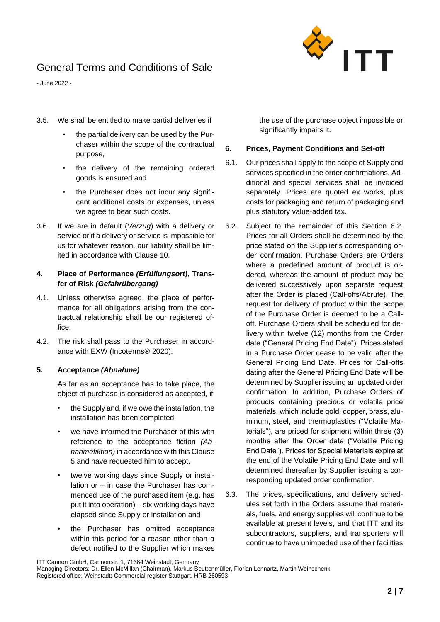

- June 2022 -

- 3.5. We shall be entitled to make partial deliveries if
	- the partial delivery can be used by the Purchaser within the scope of the contractual purpose,
	- the delivery of the remaining ordered goods is ensured and
	- the Purchaser does not incur any significant additional costs or expenses, unless we agree to bear such costs.
- 3.6. If we are in default (*Verzug*) with a delivery or service or if a delivery or service is impossible for us for whatever reason, our liability shall be limited in accordance with Clause [10.](#page-5-0)

## **4. Place of Performance** *(Erfüllungsort)***, Transfer of Risk** *(Gefahrübergang)*

- 4.1. Unless otherwise agreed, the place of performance for all obligations arising from the contractual relationship shall be our registered office.
- 4.2. The risk shall pass to the Purchaser in accordance with EXW (Incoterms® 2020).

## **5. Acceptance** *(Abnahme)*

As far as an acceptance has to take place, the object of purchase is considered as accepted, if

- the Supply and, if we owe the installation, the installation has been completed,
- we have informed the Purchaser of this with reference to the acceptance fiction *(Abnahmefiktion)* in accordance with this Clause 5 and have requested him to accept,
- twelve working days since Supply or installation or – in case the Purchaser has commenced use of the purchased item (e.g. has put it into operation) – six working days have elapsed since Supply or installation and
- the Purchaser has omitted acceptance within this period for a reason other than a defect notified to the Supplier which makes

the use of the purchase object impossible or significantly impairs it.

#### **6. Prices, Payment Conditions and Set-off**

- 6.1. Our prices shall apply to the scope of Supply and services specified in the order confirmations. Additional and special services shall be invoiced separately. Prices are quoted ex works, plus costs for packaging and return of packaging and plus statutory value-added tax.
- 6.2. Subject to the remainder of this Section 6.2, Prices for all Orders shall be determined by the price stated on the Supplier's corresponding order confirmation. Purchase Orders are Orders where a predefined amount of product is ordered, whereas the amount of product may be delivered successively upon separate request after the Order is placed (Call-offs/Abrufe). The request for delivery of product within the scope of the Purchase Order is deemed to be a Calloff. Purchase Orders shall be scheduled for delivery within twelve (12) months from the Order date ("General Pricing End Date"). Prices stated in a Purchase Order cease to be valid after the General Pricing End Date. Prices for Call-offs dating after the General Pricing End Date will be determined by Supplier issuing an updated order confirmation. In addition, Purchase Orders of products containing precious or volatile price materials, which include gold, copper, brass, aluminum, steel, and thermoplastics ("Volatile Materials"), are priced for shipment within three (3) months after the Order date ("Volatile Pricing End Date"). Prices for Special Materials expire at the end of the Volatile Pricing End Date and will determined thereafter by Supplier issuing a corresponding updated order confirmation.
- 6.3. The prices, specifications, and delivery schedules set forth in the Orders assume that materials, fuels, and energy supplies will continue to be available at present levels, and that ITT and its subcontractors, suppliers, and transporters will continue to have unimpeded use of their facilities

ITT Cannon GmbH, Cannonstr. 1, 71384 Weinstadt, Germany

Managing Directors: Dr. Ellen McMillan (Chairman), Markus Beuttenmüller, Florian Lennartz, Martin Weinschenk Registered office: Weinstadt; Commercial register Stuttgart, HRB 260593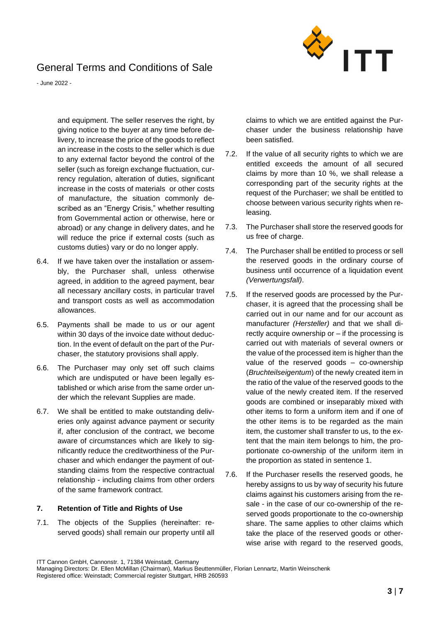

- June 2022 -

and equipment. The seller reserves the right, by giving notice to the buyer at any time before delivery, to increase the price of the goods to reflect an increase in the costs to the seller which is due to any external factor beyond the control of the seller (such as foreign exchange fluctuation, currency regulation, alteration of duties, significant increase in the costs of materials or other costs of manufacture, the situation commonly described as an "Energy Crisis," whether resulting from Governmental action or otherwise, here or abroad) or any change in delivery dates, and he will reduce the price if external costs (such as customs duties) vary or do no longer apply.

- 6.4. If we have taken over the installation or assembly, the Purchaser shall, unless otherwise agreed, in addition to the agreed payment, bear all necessary ancillary costs, in particular travel and transport costs as well as accommodation allowances.
- 6.5. Payments shall be made to us or our agent within 30 days of the invoice date without deduction. In the event of default on the part of the Purchaser, the statutory provisions shall apply.
- 6.6. The Purchaser may only set off such claims which are undisputed or have been legally established or which arise from the same order under which the relevant Supplies are made.
- 6.7. We shall be entitled to make outstanding deliveries only against advance payment or security if, after conclusion of the contract, we become aware of circumstances which are likely to significantly reduce the creditworthiness of the Purchaser and which endanger the payment of outstanding claims from the respective contractual relationship - including claims from other orders of the same framework contract.

## **7. Retention of Title and Rights of Use**

7.1. The objects of the Supplies (hereinafter: reserved goods) shall remain our property until all claims to which we are entitled against the Purchaser under the business relationship have been satisfied.

- 7.2. If the value of all security rights to which we are entitled exceeds the amount of all secured claims by more than 10 %, we shall release a corresponding part of the security rights at the request of the Purchaser; we shall be entitled to choose between various security rights when releasing.
- 7.3. The Purchaser shall store the reserved goods for us free of charge.
- <span id="page-2-0"></span>7.4. The Purchaser shall be entitled to process or sell the reserved goods in the ordinary course of business until occurrence of a liquidation event *(Verwertungsfall)*.
- 7.5. If the reserved goods are processed by the Purchaser, it is agreed that the processing shall be carried out in our name and for our account as manufacturer *(Hersteller)* and that we shall directly acquire ownership or – if the processing is carried out with materials of several owners or the value of the processed item is higher than the value of the reserved goods – co-ownership (*Bruchteilseigentum*) of the newly created item in the ratio of the value of the reserved goods to the value of the newly created item. If the reserved goods are combined or inseparably mixed with other items to form a uniform item and if one of the other items is to be regarded as the main item, the customer shall transfer to us, to the extent that the main item belongs to him, the proportionate co-ownership of the uniform item in the proportion as stated in sentence 1.
- <span id="page-2-1"></span>7.6. If the Purchaser resells the reserved goods, he hereby assigns to us by way of security his future claims against his customers arising from the resale - in the case of our co-ownership of the reserved goods proportionate to the co-ownership share. The same applies to other claims which take the place of the reserved goods or otherwise arise with regard to the reserved goods,

Managing Directors: Dr. Ellen McMillan (Chairman), Markus Beuttenmüller, Florian Lennartz, Martin Weinschenk Registered office: Weinstadt; Commercial register Stuttgart, HRB 260593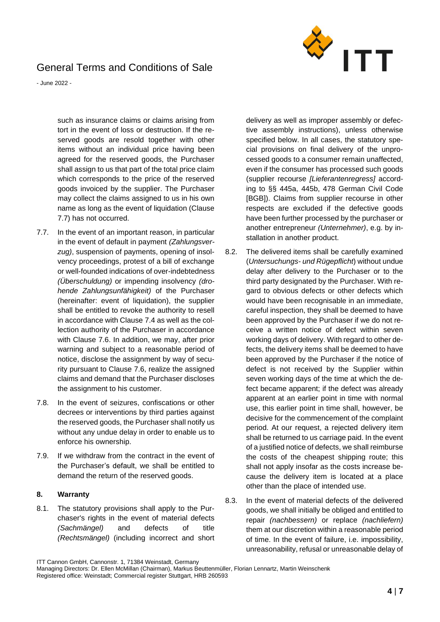

- June 2022 -

such as insurance claims or claims arising from tort in the event of loss or destruction. If the reserved goods are resold together with other items without an individual price having been agreed for the reserved goods, the Purchaser shall assign to us that part of the total price claim which corresponds to the price of the reserved goods invoiced by the supplier. The Purchaser may collect the claims assigned to us in his own name as long as the event of liquidation (Clause [7.7\)](#page-3-0) has not occurred.

- <span id="page-3-0"></span>7.7. In the event of an important reason, in particular in the event of default in payment *(Zahlungsverzug)*, suspension of payments, opening of insolvency proceedings, protest of a bill of exchange or well-founded indications of over-indebtedness *(Überschuldung)* or impending insolvency *(drohende Zahlungsunfähigkeit)* of the Purchaser (hereinafter: event of liquidation), the supplier shall be entitled to revoke the authority to resell in accordance with Clause [7.4](#page-2-0) as well as the collection authority of the Purchaser in accordance with Clause [7.6.](#page-2-1) In addition, we may, after prior warning and subject to a reasonable period of notice, disclose the assignment by way of security pursuant to Clause [7.6,](#page-2-1) realize the assigned claims and demand that the Purchaser discloses the assignment to his customer.
- 7.8. In the event of seizures, confiscations or other decrees or interventions by third parties against the reserved goods, the Purchaser shall notify us without any undue delay in order to enable us to enforce his ownership.
- 7.9. If we withdraw from the contract in the event of the Purchaser's default, we shall be entitled to demand the return of the reserved goods.

## **8. Warranty**

8.1. The statutory provisions shall apply to the Purchaser's rights in the event of material defects *(Sachmängel)* and defects of title *(Rechtsmängel)* (including incorrect and short delivery as well as improper assembly or defective assembly instructions), unless otherwise specified below. In all cases, the statutory special provisions on final delivery of the unprocessed goods to a consumer remain unaffected, even if the consumer has processed such goods (supplier recourse *[Lieferantenregress]* according to §§ 445a, 445b, 478 German Civil Code [BGB]). Claims from supplier recourse in other respects are excluded if the defective goods have been further processed by the purchaser or another entrepreneur *(Unternehmer)*, e.g. by installation in another product.

- 8.2. The delivered items shall be carefully examined (*Untersuchungs- und Rügepflicht*) without undue delay after delivery to the Purchaser or to the third party designated by the Purchaser. With regard to obvious defects or other defects which would have been recognisable in an immediate. careful inspection, they shall be deemed to have been approved by the Purchaser if we do not receive a written notice of defect within seven working days of delivery. With regard to other defects, the delivery items shall be deemed to have been approved by the Purchaser if the notice of defect is not received by the Supplier within seven working days of the time at which the defect became apparent; if the defect was already apparent at an earlier point in time with normal use, this earlier point in time shall, however, be decisive for the commencement of the complaint period. At our request, a rejected delivery item shall be returned to us carriage paid. In the event of a justified notice of defects, we shall reimburse the costs of the cheapest shipping route; this shall not apply insofar as the costs increase because the delivery item is located at a place other than the place of intended use.
- 8.3. In the event of material defects of the delivered goods, we shall initially be obliged and entitled to repair *(nachbessern)* or replace *(nachliefern)* them at our discretion within a reasonable period of time. In the event of failure, i.e. impossibility, unreasonability, refusal or unreasonable delay of

Managing Directors: Dr. Ellen McMillan (Chairman), Markus Beuttenmüller, Florian Lennartz, Martin Weinschenk Registered office: Weinstadt; Commercial register Stuttgart, HRB 260593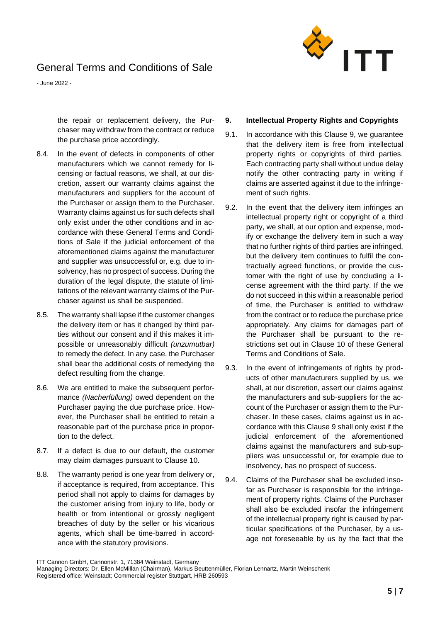

- June 2022 -

the repair or replacement delivery, the Purchaser may withdraw from the contract or reduce the purchase price accordingly.

- 8.4. In the event of defects in components of other manufacturers which we cannot remedy for licensing or factual reasons, we shall, at our discretion, assert our warranty claims against the manufacturers and suppliers for the account of the Purchaser or assign them to the Purchaser. Warranty claims against us for such defects shall only exist under the other conditions and in accordance with these General Terms and Conditions of Sale if the judicial enforcement of the aforementioned claims against the manufacturer and supplier was unsuccessful or, e.g. due to insolvency, has no prospect of success. During the duration of the legal dispute, the statute of limitations of the relevant warranty claims of the Purchaser against us shall be suspended.
- 8.5. The warranty shall lapse if the customer changes the delivery item or has it changed by third parties without our consent and if this makes it impossible or unreasonably difficult *(unzumutbar)*  to remedy the defect. In any case, the Purchaser shall bear the additional costs of remedying the defect resulting from the change.
- 8.6. We are entitled to make the subsequent performance *(Nacherfüllung)* owed dependent on the Purchaser paying the due purchase price. However, the Purchaser shall be entitled to retain a reasonable part of the purchase price in proportion to the defect.
- 8.7. If a defect is due to our default, the customer may claim damages pursuant to Clause [10.](#page-5-0)
- 8.8. The warranty period is one year from delivery or, if acceptance is required, from acceptance. This period shall not apply to claims for damages by the customer arising from injury to life, body or health or from intentional or grossly negligent breaches of duty by the seller or his vicarious agents, which shall be time-barred in accordance with the statutory provisions.

## <span id="page-4-0"></span>**9. Intellectual Property Rights and Copyrights**

- 9.1. In accordance with this Clause [9,](#page-4-0) we guarantee that the delivery item is free from intellectual property rights or copyrights of third parties. Each contracting party shall without undue delay notify the other contracting party in writing if claims are asserted against it due to the infringement of such rights.
- 9.2. In the event that the delivery item infringes an intellectual property right or copyright of a third party, we shall, at our option and expense, modify or exchange the delivery item in such a way that no further rights of third parties are infringed, but the delivery item continues to fulfil the contractually agreed functions, or provide the customer with the right of use by concluding a license agreement with the third party. If the we do not succeed in this within a reasonable period of time, the Purchaser is entitled to withdraw from the contract or to reduce the purchase price appropriately. Any claims for damages part of the Purchaser shall be pursuant to the restrictions set out in Clause [10](#page-5-0) of these General Terms and Conditions of Sale.
- 9.3. In the event of infringements of rights by products of other manufacturers supplied by us, we shall, at our discretion, assert our claims against the manufacturers and sub-suppliers for the account of the Purchaser or assign them to the Purchaser. In these cases, claims against us in accordance with this Clause [9](#page-4-0) shall only exist if the judicial enforcement of the aforementioned claims against the manufacturers and sub-suppliers was unsuccessful or, for example due to insolvency, has no prospect of success.
- 9.4. Claims of the Purchaser shall be excluded insofar as Purchaser is responsible for the infringement of property rights. Claims of the Purchaser shall also be excluded insofar the infringement of the intellectual property right is caused by particular specifications of the Purchaser, by a usage not foreseeable by us by the fact that the

ITT Cannon GmbH, Cannonstr. 1, 71384 Weinstadt, Germany

Managing Directors: Dr. Ellen McMillan (Chairman), Markus Beuttenmüller, Florian Lennartz, Martin Weinschenk Registered office: Weinstadt; Commercial register Stuttgart, HRB 260593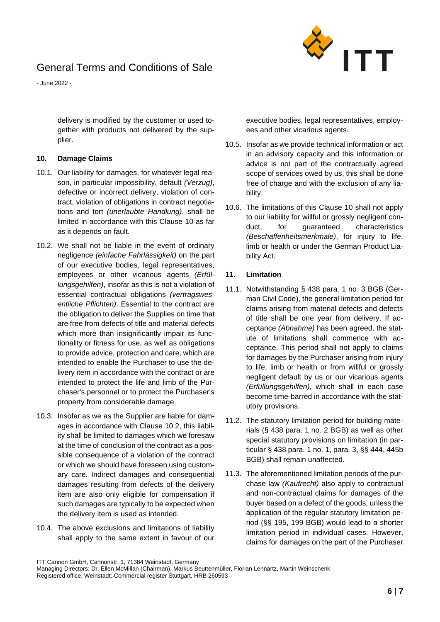

- June 2022 -

delivery is modified by the customer or used together with products not delivered by the supplier.

## <span id="page-5-0"></span>**10. Damage Claims**

- 10.1. Our liability for damages, for whatever legal reason, in particular impossibility, default *(Verzug)*, defective or incorrect delivery, violation of contract, violation of obligations in contract negotiations and tort *(unerlaubte Handlung)*, shall be limited in accordance with this Clause [10](#page-5-0) as far as it depends on fault.
- <span id="page-5-1"></span>10.2. We shall not be liable in the event of ordinary negligence *(einfache Fahrlässigkeit)* on the part of our executive bodies, legal representatives, employees or other vicarious agents *(Erfüllungsgehilfen)*, insofar as this is not a violation of essential contractual obligations *(vertragswesentliche Pflichten)*. Essential to the contract are the obligation to deliver the Supplies on time that are free from defects of title and material defects which more than insignificantly impair its functionality or fitness for use, as well as obligations to provide advice, protection and care, which are intended to enable the Purchaser to use the delivery item in accordance with the contract or are intended to protect the life and limb of the Purchaser's personnel or to protect the Purchaser's property from considerable damage.
- 10.3. Insofar as we as the Supplier are liable for damages in accordance with Clause [10.2,](#page-5-1) this liability shall be limited to damages which we foresaw at the time of conclusion of the contract as a possible consequence of a violation of the contract or which we should have foreseen using customary care. Indirect damages and consequential damages resulting from defects of the delivery item are also only eligible for compensation if such damages are typically to be expected when the delivery item is used as intended.
- 10.4. The above exclusions and limitations of liability shall apply to the same extent in favour of our

executive bodies, legal representatives, employees and other vicarious agents.

- 10.5. Insofar as we provide technical information or act in an advisory capacity and this information or advice is not part of the contractually agreed scope of services owed by us, this shall be done free of charge and with the exclusion of any liability.
- <span id="page-5-2"></span>10.6. The limitations of this Clause [10](#page-5-0) shall not apply to our liability for willful or grossly negligent conduct, for guaranteed characteristics *(Beschaffenheitsmerkmale)*, for injury to life, limb or health or under the German Product Liability Act.

### **11. Limitation**

- 11.1. Notwithstanding § 438 para. 1 no. 3 BGB (German Civil Code), the general limitation period for claims arising from material defects and defects of title shall be one year from delivery. If acceptance *(Abnahme)* has been agreed, the statute of limitations shall commence with acceptance. This period shall not apply to claims for damages by the Purchaser arising from injury to life, limb or health or from willful or grossly negligent default by us or our vicarious agents *(Erfüllungsgehilfen)*, which shall in each case become time-barred in accordance with the statutory provisions.
- 11.2. The statutory limitation period for building materials (§ 438 para. 1 no. 2 BGB) as well as other special statutory provisions on limitation (in particular § 438 para. 1 no. 1, para. 3, §§ 444, 445b BGB) shall remain unaffected.
- 11.3. The aforementioned limitation periods of the purchase law *(Kaufrecht)* also apply to contractual and non-contractual claims for damages of the buyer based on a defect of the goods, unless the application of the regular statutory limitation period (§§ 195, 199 BGB) would lead to a shorter limitation period in individual cases. However, claims for damages on the part of the Purchaser

Managing Directors: Dr. Ellen McMillan (Chairman), Markus Beuttenmüller, Florian Lennartz, Martin Weinschenk Registered office: Weinstadt; Commercial register Stuttgart, HRB 260593